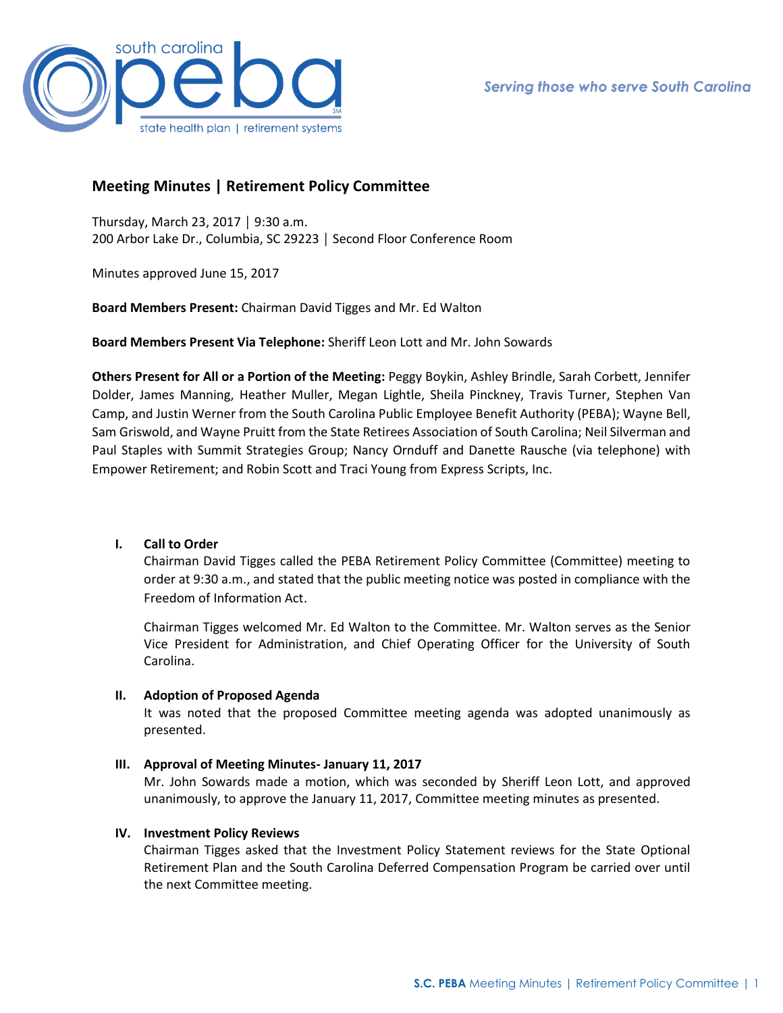

# **Meeting Minutes | Retirement Policy Committee**

Thursday, March 23, 2017 │ 9:30 a.m. 200 Arbor Lake Dr., Columbia, SC 29223 │ Second Floor Conference Room

Minutes approved June 15, 2017

**Board Members Present:** Chairman David Tigges and Mr. Ed Walton

**Board Members Present Via Telephone:** Sheriff Leon Lott and Mr. John Sowards

**Others Present for All or a Portion of the Meeting:** Peggy Boykin, Ashley Brindle, Sarah Corbett, Jennifer Dolder, James Manning, Heather Muller, Megan Lightle, Sheila Pinckney, Travis Turner, Stephen Van Camp, and Justin Werner from the South Carolina Public Employee Benefit Authority (PEBA); Wayne Bell, Sam Griswold, and Wayne Pruitt from the State Retirees Association of South Carolina; Neil Silverman and Paul Staples with Summit Strategies Group; Nancy Ornduff and Danette Rausche (via telephone) with Empower Retirement; and Robin Scott and Traci Young from Express Scripts, Inc.

#### **I. Call to Order**

Chairman David Tigges called the PEBA Retirement Policy Committee (Committee) meeting to order at 9:30 a.m., and stated that the public meeting notice was posted in compliance with the Freedom of Information Act.

Chairman Tigges welcomed Mr. Ed Walton to the Committee. Mr. Walton serves as the Senior Vice President for Administration, and Chief Operating Officer for the University of South Carolina.

#### **II. Adoption of Proposed Agenda**

It was noted that the proposed Committee meeting agenda was adopted unanimously as presented.

#### **III. Approval of Meeting Minutes- January 11, 2017**

Mr. John Sowards made a motion, which was seconded by Sheriff Leon Lott, and approved unanimously, to approve the January 11, 2017, Committee meeting minutes as presented.

#### **IV. Investment Policy Reviews**

Chairman Tigges asked that the Investment Policy Statement reviews for the State Optional Retirement Plan and the South Carolina Deferred Compensation Program be carried over until the next Committee meeting.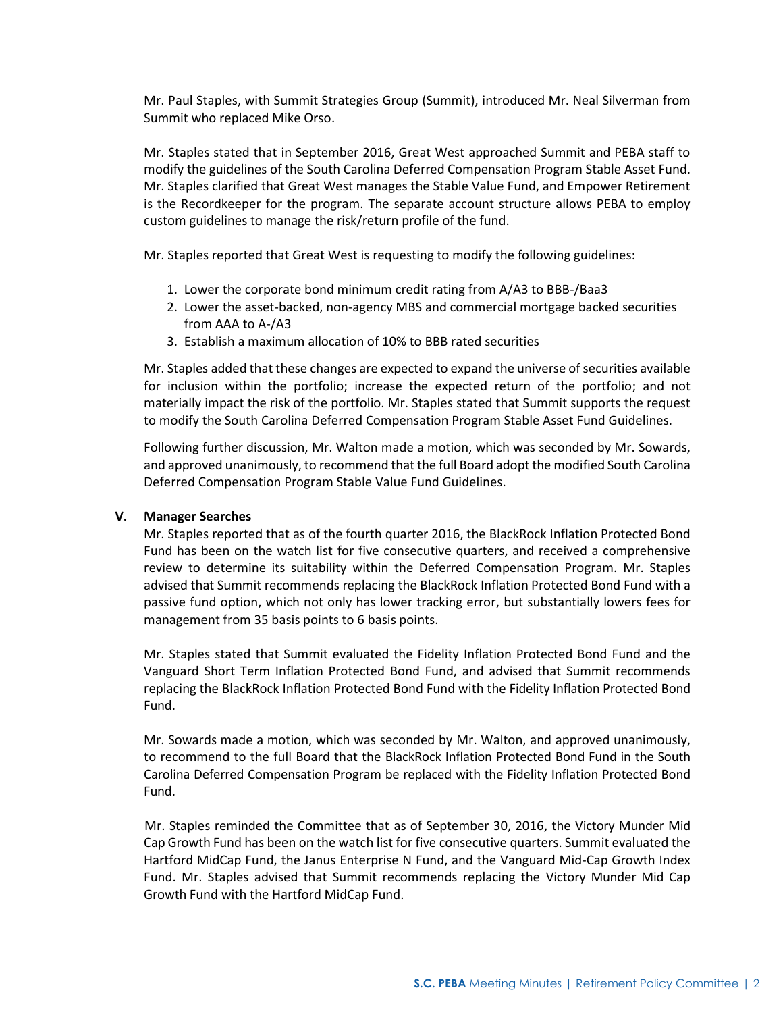Mr. Paul Staples, with Summit Strategies Group (Summit), introduced Mr. Neal Silverman from Summit who replaced Mike Orso.

Mr. Staples stated that in September 2016, Great West approached Summit and PEBA staff to modify the guidelines of the South Carolina Deferred Compensation Program Stable Asset Fund. Mr. Staples clarified that Great West manages the Stable Value Fund, and Empower Retirement is the Recordkeeper for the program. The separate account structure allows PEBA to employ custom guidelines to manage the risk/return profile of the fund.

Mr. Staples reported that Great West is requesting to modify the following guidelines:

- 1. Lower the corporate bond minimum credit rating from A/A3 to BBB-/Baa3
- 2. Lower the asset-backed, non-agency MBS and commercial mortgage backed securities from AAA to A-/A3
- 3. Establish a maximum allocation of 10% to BBB rated securities

Mr. Staples added that these changes are expected to expand the universe of securities available for inclusion within the portfolio; increase the expected return of the portfolio; and not materially impact the risk of the portfolio. Mr. Staples stated that Summit supports the request to modify the South Carolina Deferred Compensation Program Stable Asset Fund Guidelines.

Following further discussion, Mr. Walton made a motion, which was seconded by Mr. Sowards, and approved unanimously, to recommend that the full Board adopt the modified South Carolina Deferred Compensation Program Stable Value Fund Guidelines.

#### **V. Manager Searches**

Mr. Staples reported that as of the fourth quarter 2016, the BlackRock Inflation Protected Bond Fund has been on the watch list for five consecutive quarters, and received a comprehensive review to determine its suitability within the Deferred Compensation Program. Mr. Staples advised that Summit recommends replacing the BlackRock Inflation Protected Bond Fund with a passive fund option, which not only has lower tracking error, but substantially lowers fees for management from 35 basis points to 6 basis points.

Mr. Staples stated that Summit evaluated the Fidelity Inflation Protected Bond Fund and the Vanguard Short Term Inflation Protected Bond Fund, and advised that Summit recommends replacing the BlackRock Inflation Protected Bond Fund with the Fidelity Inflation Protected Bond Fund.

Mr. Sowards made a motion, which was seconded by Mr. Walton, and approved unanimously, to recommend to the full Board that the BlackRock Inflation Protected Bond Fund in the South Carolina Deferred Compensation Program be replaced with the Fidelity Inflation Protected Bond Fund.

 Mr. Staples reminded the Committee that as of September 30, 2016, the Victory Munder Mid Cap Growth Fund has been on the watch list for five consecutive quarters. Summit evaluated the Hartford MidCap Fund, the Janus Enterprise N Fund, and the Vanguard Mid-Cap Growth Index Fund. Mr. Staples advised that Summit recommends replacing the Victory Munder Mid Cap Growth Fund with the Hartford MidCap Fund.